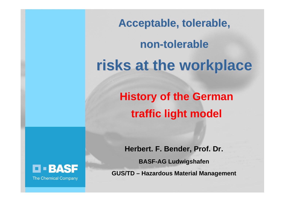Acceptable, tolerable,

**non-tolerable tolerablerisks at the workplace risks at the workplace**

> **History of the German traffic light model**

**Herbert. F. Bender, Prof. Dr.** 

**BASF-AG Ludwigshafen**

**GUS/TD – Hazardous Material Management**

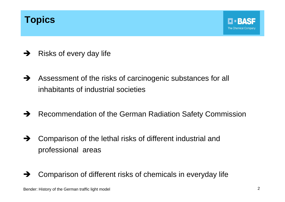## **Topics**

- $\rightarrow$ Risks of every day life
- $\rightarrow$  Assessment of the risks of carcinogenic substances for all inhabitants of industrial societies
- $\rightarrow$ Recommendation of the German Radiation Safety Commission
- $\rightarrow$  Comparison of the lethal risks of different industrial and professional areas
- $\rightarrow$ Comparison of different risks of chemicals in everyday life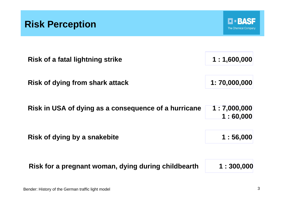



| Risk of a fatal lightning strike                     | 1:1,600,000             |
|------------------------------------------------------|-------------------------|
| <b>Risk of dying from shark attack</b>               | 1:70,000,000            |
| Risk in USA of dying as a consequence of a hurricane | 1:7,000,000<br>1:60,000 |
| Risk of dying by a snakebite                         | 1:56,000                |
| Risk for a pregnant woman, dying during childbearth  | 1:300,000               |

Bender: History of the German traffic light model 3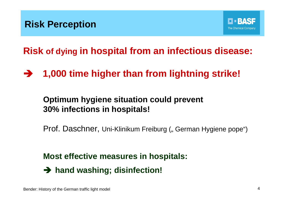**Risk of dying in hospital from an infectious disease:**

**→ 1,000 time higher than from lightning strike!** 

## **Optimum hygiene situation could prevent 30% infections in hospitals!**

Prof. Daschner, Uni-Klinikum Freiburg ("German Hygiene pope")

**Most effective measures in hospitals:** 

 $\rightarrow$  hand washing; disinfection!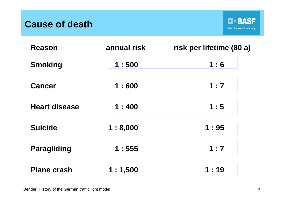## **Cause of death**



| <b>Reason</b>        | annual risk | risk per lifetime (80 a) |
|----------------------|-------------|--------------------------|
| <b>Smoking</b>       | 1:500       | 1:6                      |
| <b>Cancer</b>        | 1:600       | 1:7                      |
| <b>Heart disease</b> | 1:400       | 1:5                      |
| <b>Suicide</b>       | 1:8,000     | 1:95                     |
| <b>Paragliding</b>   | 1:555       | 1:7                      |
| <b>Plane crash</b>   | 1:1,500     | 1:19                     |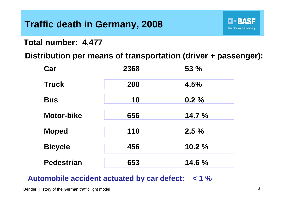# **Traffic death in Germany, 2008**

**Total number: 4,477**

**Distribution per means of transportation (driver + passenger):**

| Car               | 2368 | 53 %   |
|-------------------|------|--------|
| <b>Truck</b>      | 200  | 4.5%   |
| <b>Bus</b>        | 10   | 0.2%   |
| <b>Motor-bike</b> | 656  | 14.7 % |
| <b>Moped</b>      | 110  | 2.5%   |
| <b>Bicycle</b>    | 456  | 10.2%  |
| <b>Pedestrian</b> | 653  | 14.6 % |

#### **Automobile accident actuated by car defect: < 1 %**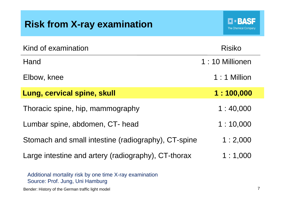# **Risk from X-ray examination**

| Kind of examination                                 | <b>Risiko</b>  |
|-----------------------------------------------------|----------------|
| Hand                                                | 1:10 Millionen |
| Elbow, knee                                         | 1:1 Million    |
| Lung, cervical spine, skull                         | 1:100,000      |
| Thoracic spine, hip, mammography                    | 1:40,000       |
| Lumbar spine, abdomen, CT- head                     | 1:10,000       |
| Stomach and small intestine (radiography), CT-spine | 1:2,000        |
| Large intestine and artery (radiography), CT-thorax | 1:1,000        |

Additional mortality risk by one time X-ray examination Source: Prof. Jung, Uni Hamburg

Bender: History of the German traffic light model 7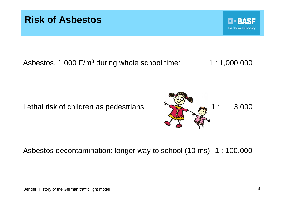

Asbestos, 1,000  $F/m<sup>3</sup>$  during whole school time:  $1 : 1,000,000$ 

Lethal risk of children as pedestrians **1**: 3,000



#### Asbestos decontamination: longer way to school (10 ms): 1 : 100,000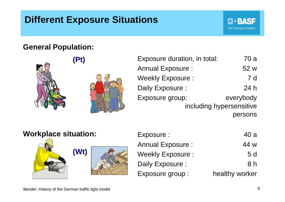# **Different Exposure Situations**

#### **General Population:**



| Exposure duration, in total: | 70 a       |
|------------------------------|------------|
| <b>Annual Exposure:</b>      | 52 w       |
| <b>Weekly Exposure:</b>      | <b>7 d</b> |
| Daily Exposure :             | 24h        |
| Exposure group:              | everybody  |
| including hypersensitive     |            |
|                              | persons    |

| <b>Workplace situation:</b> |      | Exposure :              | 40 a           |
|-----------------------------|------|-------------------------|----------------|
|                             |      | <b>Annual Exposure:</b> | 44 w           |
|                             | (Wt) | <b>Weekly Exposure:</b> | 5d             |
|                             |      | Daily Exposure :        | 8 <sub>h</sub> |
|                             |      | Exposure group :        | healthy worker |

**D-BASF**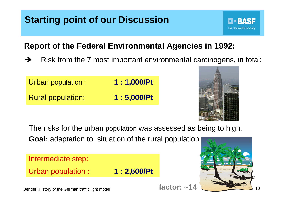# **Starting point of our Discussion**

## **Report of the Federal Environmental Agencies in 1992:**

 $\rightarrow$ Risk from the 7 most important environmental carcinogens, in total:

Urban population : **1 : 1,000/Pt** Rural population: **1 : 5,000/Pt**



The risks for the urban population was assessed as being to high.

**Goal:** adaptation to situation of the rural population

Intermediate step:

Urban population : **1 : 2,500/Pt**



Bender: History of the German traffic light model 10  $\sqrt{16}$  and  $\sqrt{14}$   $\sqrt{14}$   $\sqrt{16}$  10

**factor: ~14**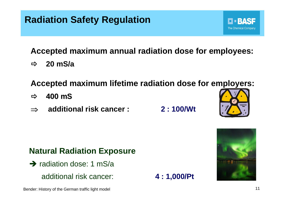# **Radiation Safety Regulation**

**Accepted maximum annual radiation dose for employees:**

Ö**20 mS/a**

**Accepted maximum lifetime radiation dose for employers:**

- $\Rightarrow$ **400 mS**
- ⇒**additional risk cancer : 2 : 100/Wt**

**Natural Radiation Exposure** 

- $\rightarrow$  radiation dose: 1 mS/a
	- additional risk cancer: **4 : 1,000/Pt**





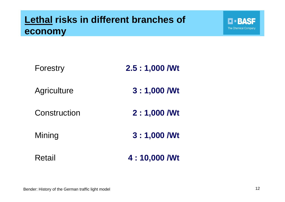# **Lethal risks in different branches of economy**

| Forestry           | $2.5:1,000$ /Wt |
|--------------------|-----------------|
| <b>Agriculture</b> | $3:1,000$ /Wt   |
| Construction       | 2 : 1,000 / Wt  |
| Mining             | 3:1,000 / Wt    |
| Retail             | 4:10,000 / Wt   |

**D-BASF**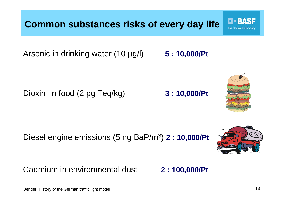Bender: History of the German traffic light model 13

Diesel engine emissions (5 ng BaP/m3) **2 : 10,000/Pt**

Cadmium in environmental dust **2 : 100,000/Pt**

**Common substances risks of every day life**

Arsenic in drinking water (10 µg/l) **5 : 10,000/Pt**

Dioxin in food (2 pg Teq/kg) **3 : 10,000/Pt**



137

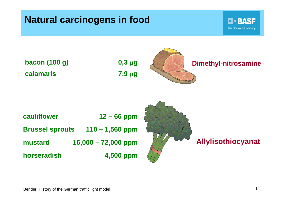## **Natural carcinogens in food**



**bacon (100 g) 0,3** μ**g calamaris 7,9** μ**g**





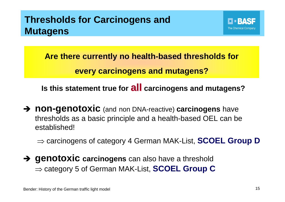# **Thresholds for Carcinogens and Mutagens**



**Are there currently no health-based thresholds for every carcinogens and mutagens?**

**Is this statement true for all carcinogens and mutagens?**

 $\rightarrow$  **non-genotoxic** (and non DNA-reactive) **carcinogens** have thresholds as a basic principle and a health-based OEL can be established!

⇒ carcinogens of category 4 German MAK-List, **SCOEL Group D**

 $\rightarrow$  **genotoxic** carcinogens can also have a threshold ⇒ category 5 of German MAK-List, **SCOEL Group C**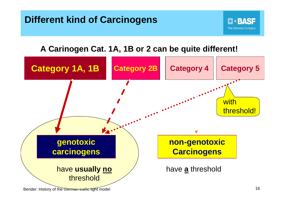

Bender: History of the German traffic light model 16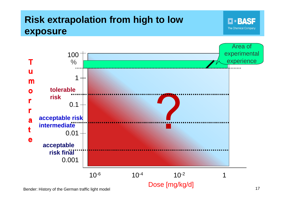# **Risk extrapolation from high to low exposure**

**D-BASF** The Chemical Company



Bender: History of the German traffic light model and the state of the German traffic light model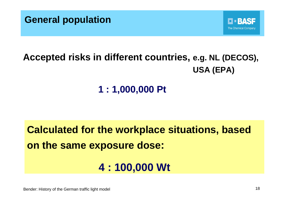



# **Accepted risks in different countries, e.g. NL (DECOS), USA (EPA)**

# **1 : 1,000,000 Pt**

**Calculated for the workplace situations, based on the same exposure dose:**

# **4 : 100,000 Wt**

Bender: History of the German traffic light model 18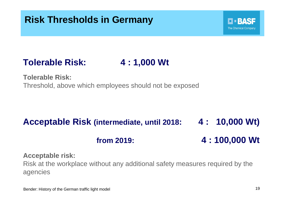



**Tolerable Risk:**Threshold, above which employees should not be exposed

# **Acceptable Risk (intermediate, until 2018: 4 : 10,000 Wt) from 2019: 4 : 100,000 Wt**

#### **Acceptable risk:**

Risk at the workplace without any additional safety measures required by the agencies

**FEBASE**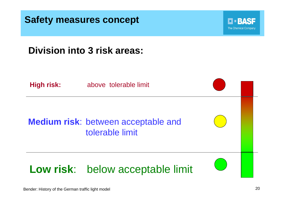



## **Division into 3 risk areas:**

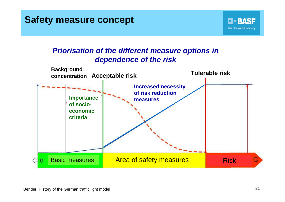## **Safety measure concept**

#### *Priorisation of the different measure options in dependence of the risk*



**D-BASF**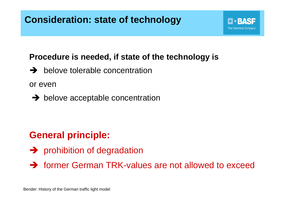# **Consideration: state of technology**

#### **Procedure is needed, if state of the technology is**

**The Chemical Company** 

 $\rightarrow$  belove tolerable concentration

or even

 $\rightarrow$  belove acceptable concentration

## **General principle:**

- $\rightarrow$  prohibition of degradation
- $\rightarrow$  former German TRK-values are not allowed to exceed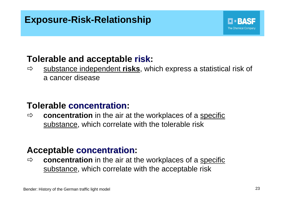# **Exposure-Risk-Relationship**

## **Tolerable and acceptable risk:**

Ö substance independent **risks**, which express a statistical risk of a cancer disease

## **Tolerable concentration concentration:**

 $\Rightarrow$ **concentration** in the air at the workplaces of a specific substance, which correlate with the tolerable risk

### **Acceptable concentration concentration:**

Ö **concentration** in the air at the workplaces of a specific substance, which correlate with the acceptable risk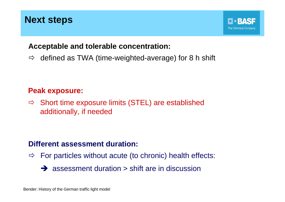## **Next steps**

#### **Acceptable and tolerable concentration:**

 $\Rightarrow$ defined as TWA (time-weighted-average) for 8 h shift

#### **Peak exposure:**

 $\Rightarrow$  Short time exposure limits (STEL) are established additionally, if needed

#### **Different assessment duration:**

- $\Rightarrow$  For particles without acute (to chronic) health effects:
	- $\rightarrow$  assessment duration  $>$  shift are in discussion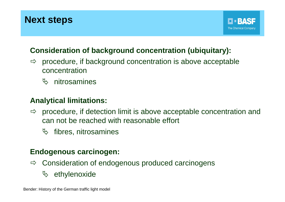## **Next steps**

#### **Consideration of background concentration (ubiquitary):**

- $\Rightarrow$  procedure, if background concentration is above acceptable concentration
	- $\%$  nitrosamines

#### **Analytical limitations:**

- $\Rightarrow$  procedure, if detection limit is above acceptable concentration and can not be reached with reasonable effort
	- $\psi$  fibres, nitrosamines

#### **Endogenous carcinogen:**

- $\Rightarrow$  Consideration of endogenous produced carcinogens
	- $\%$  ethylenoxide